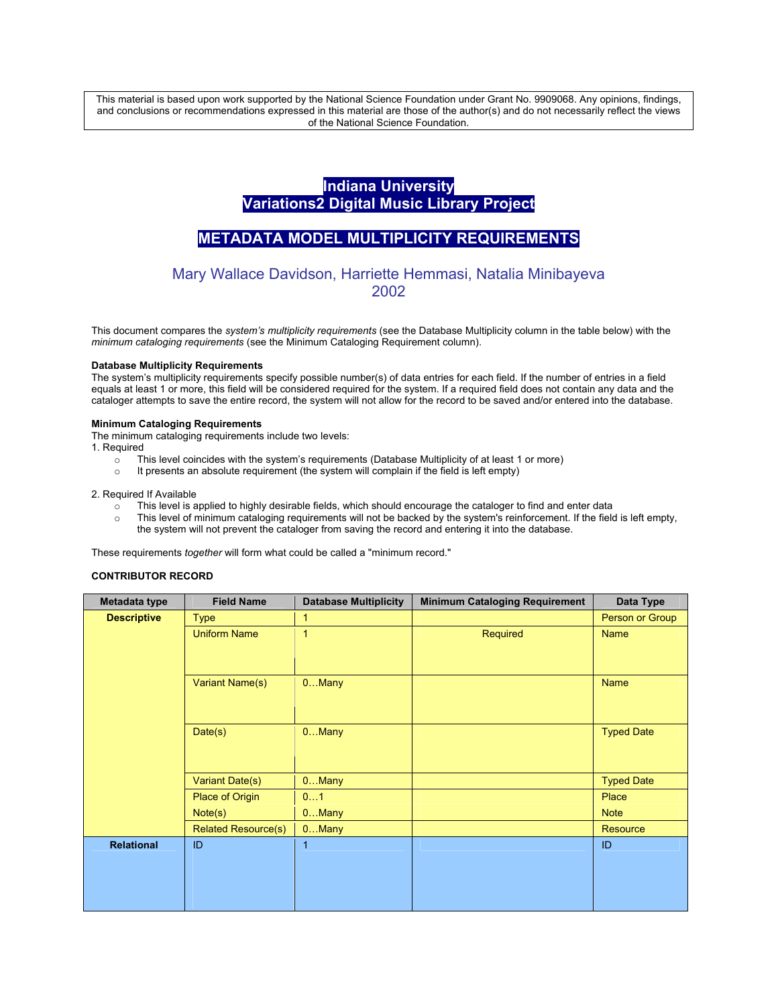This material is based upon work supported by the National Science Foundation under Grant No. 9909068. Any opinions, findings, and conclusions or recommendations expressed in this material are those of the author(s) and do not necessarily reflect the views of the National Science Foundation.

# **Indiana University Variations2 Digital Music Library Project**

# **METADATA MODEL MULTIPLICITY REQUIREMENTS**

# Mary Wallace Davidson, Harriette Hemmasi, Natalia Minibayeva 2002

This document compares the *system's multiplicity requirements* (see the Database Multiplicity column in the table below) with the *minimum cataloging requirements* (see the Minimum Cataloging Requirement column).

### **Database Multiplicity Requirements**

The system's multiplicity requirements specify possible number(s) of data entries for each field. If the number of entries in a field equals at least 1 or more, this field will be considered required for the system. If a required field does not contain any data and the cataloger attempts to save the entire record, the system will not allow for the record to be saved and/or entered into the database.

### **Minimum Cataloging Requirements**

The minimum cataloging requirements include two levels:

- 1. Required
	- $\circ$  This level coincides with the system's requirements (Database Multiplicity of at least 1 or more)
	- o It presents an absolute requirement (the system will complain if the field is left empty)

#### 2. Required If Available

- $\circ$  This level is applied to highly desirable fields, which should encourage the cataloger to find and enter data
- o This level of minimum cataloging requirements will not be backed by the system's reinforcement. If the field is left empty, the system will not prevent the cataloger from saving the record and entering it into the database.

These requirements *together* will form what could be called a "minimum record."

### **CONTRIBUTOR RECORD**

| Metadata type      | <b>Field Name</b>          | <b>Database Multiplicity</b> | <b>Minimum Cataloging Requirement</b> | Data Type         |
|--------------------|----------------------------|------------------------------|---------------------------------------|-------------------|
| <b>Descriptive</b> | <b>Type</b>                | 1                            |                                       | Person or Group   |
|                    | <b>Uniform Name</b>        | 1                            | Required                              | <b>Name</b>       |
|                    |                            |                              |                                       |                   |
|                    |                            |                              |                                       |                   |
|                    | Variant Name(s)            | $0$ Many                     |                                       | <b>Name</b>       |
|                    |                            |                              |                                       |                   |
|                    |                            |                              |                                       |                   |
|                    | Date(s)                    | $0.$ Many                    |                                       | <b>Typed Date</b> |
|                    |                            |                              |                                       |                   |
|                    |                            |                              |                                       |                   |
|                    | Variant Date(s)            | $0.$ Many                    |                                       | <b>Typed Date</b> |
|                    | <b>Place of Origin</b>     | 01                           |                                       | Place             |
|                    | Note(s)                    | $0.$ Many                    |                                       | <b>Note</b>       |
|                    | <b>Related Resource(s)</b> | $0$ Many                     |                                       | Resource          |
| <b>Relational</b>  | ID                         | $\mathbf{1}$                 |                                       | ID                |
|                    |                            |                              |                                       |                   |
|                    |                            |                              |                                       |                   |
|                    |                            |                              |                                       |                   |
|                    |                            |                              |                                       |                   |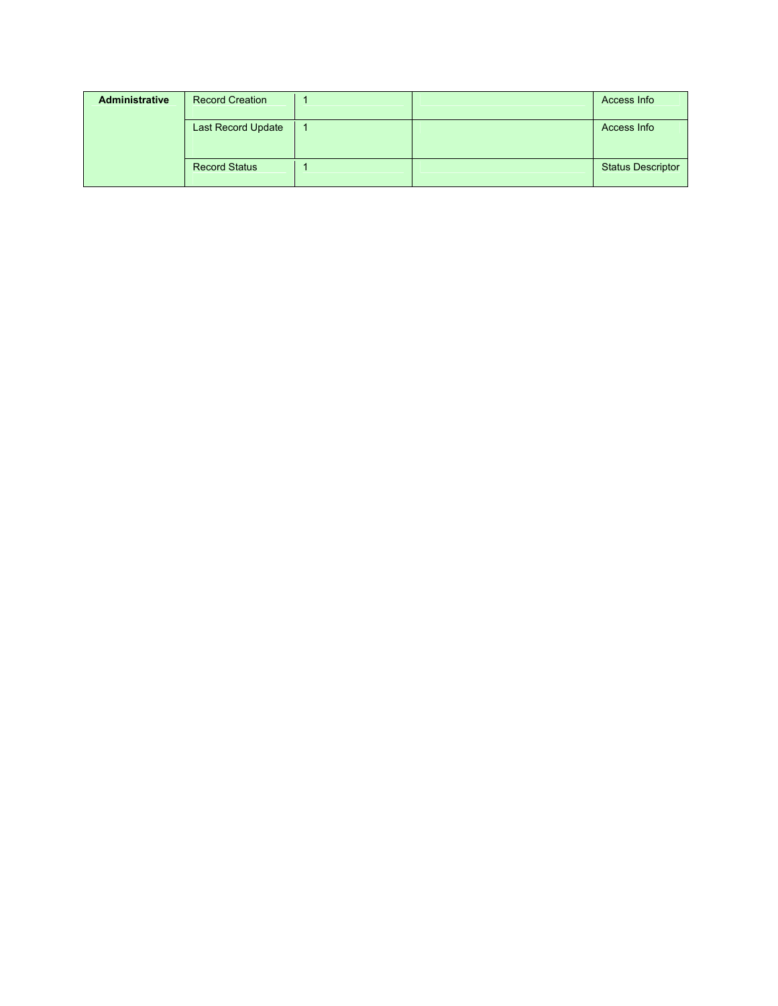| <b>Administrative</b> | <b>Record Creation</b>    |  | Access Info              |
|-----------------------|---------------------------|--|--------------------------|
|                       | <b>Last Record Update</b> |  | Access Info              |
|                       | <b>Record Status</b>      |  | <b>Status Descriptor</b> |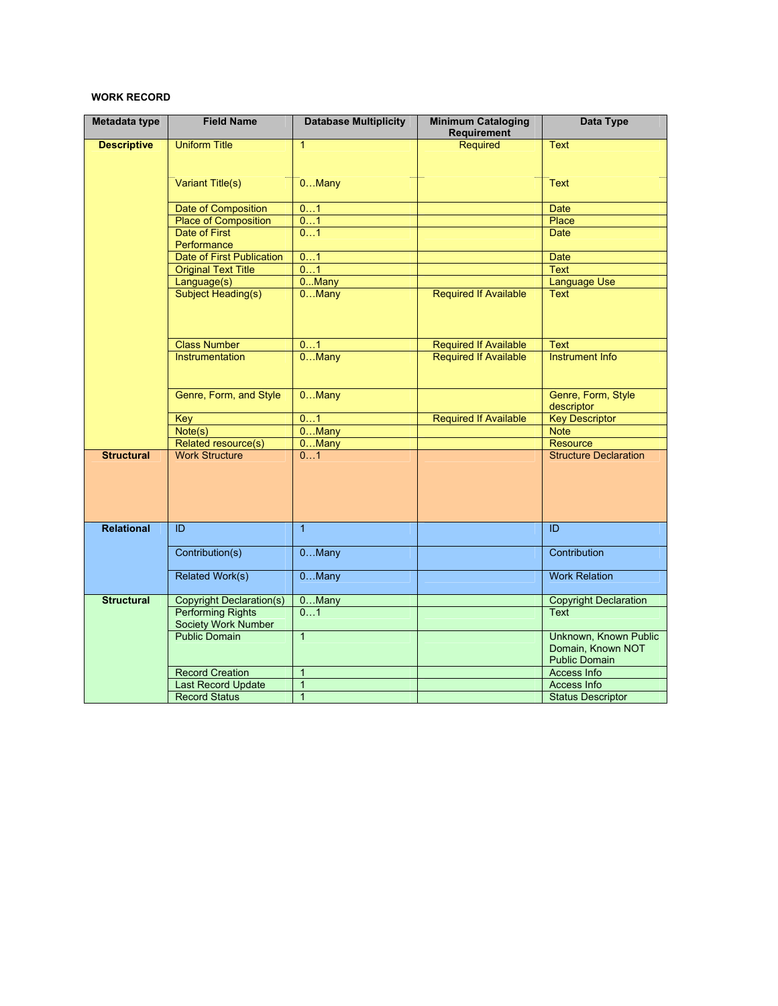## **WORK RECORD**

| Metadata type      | <b>Field Name</b>                               | <b>Database Multiplicity</b> | <b>Minimum Cataloging</b><br>Requirement | <b>Data Type</b>                                                   |
|--------------------|-------------------------------------------------|------------------------------|------------------------------------------|--------------------------------------------------------------------|
| <b>Descriptive</b> | <b>Uniform Title</b>                            | $\mathbf{1}$                 | Required                                 | <b>Text</b>                                                        |
|                    | Variant Title(s)                                | 0. Many                      |                                          | <b>Text</b>                                                        |
|                    | Date of Composition                             | 01                           |                                          | <b>Date</b>                                                        |
|                    | <b>Place of Composition</b>                     | 01                           |                                          | Place                                                              |
|                    | Date of First<br>Performance                    | 01                           |                                          | <b>Date</b>                                                        |
|                    | <b>Date of First Publication</b>                | 01                           |                                          | <b>Date</b>                                                        |
|                    | <b>Original Text Title</b>                      | 01                           |                                          | <b>Text</b>                                                        |
|                    | Language(s)                                     | 0Many                        |                                          | <b>Language Use</b>                                                |
|                    | Subject Heading(s)                              | $0.$ Many                    | <b>Required If Available</b>             | <b>Text</b>                                                        |
|                    | <b>Class Number</b>                             | 01                           | <b>Required If Available</b>             | <b>Text</b>                                                        |
|                    | <b>Instrumentation</b>                          | $0$ Many                     | <b>Required If Available</b>             | <b>Instrument Info</b>                                             |
|                    | Genre, Form, and Style                          | $0$ Many                     |                                          | Genre, Form, Style<br>descriptor                                   |
|                    | Key                                             | 01                           | <b>Required If Available</b>             | <b>Key Descriptor</b>                                              |
|                    | Note(s)                                         | $0$ Many                     |                                          | <b>Note</b>                                                        |
|                    | Related resource(s)                             | 0Many                        |                                          | Resource                                                           |
| <b>Structural</b>  | <b>Work Structure</b>                           | 01                           |                                          | <b>Structure Declaration</b>                                       |
| <b>Relational</b>  | ID                                              | $\mathbf{1}$                 |                                          | ID                                                                 |
|                    | Contribution(s)                                 | $0$ Many                     |                                          | Contribution                                                       |
|                    | <b>Related Work(s)</b>                          | $0$ Many                     |                                          | <b>Work Relation</b>                                               |
| <b>Structural</b>  | <b>Copyright Declaration(s)</b>                 | 0Many                        |                                          | <b>Copyright Declaration</b>                                       |
|                    | <b>Performing Rights</b><br>Society Work Number | 01                           |                                          | <b>Text</b>                                                        |
|                    | <b>Public Domain</b>                            | $\mathbf{1}$                 |                                          | Unknown, Known Public<br>Domain, Known NOT<br><b>Public Domain</b> |
|                    | <b>Record Creation</b>                          | $\mathbf{1}$                 |                                          | <b>Access Info</b>                                                 |
|                    | <b>Last Record Update</b>                       | $\overline{1}$               |                                          | Access Info                                                        |
|                    | <b>Record Status</b>                            | $\mathbf{1}$                 |                                          | <b>Status Descriptor</b>                                           |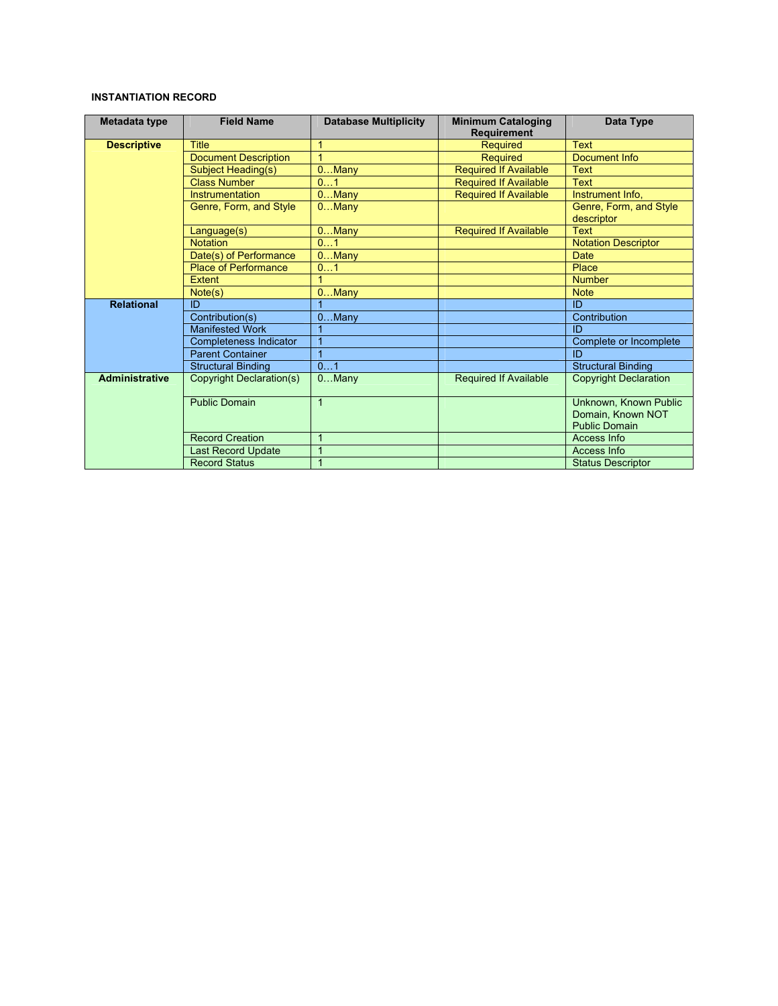## **INSTANTIATION RECORD**

| Metadata type         | <b>Field Name</b>             | <b>Database Multiplicity</b> | <b>Minimum Cataloging</b><br><b>Requirement</b> | Data Type                                                          |
|-----------------------|-------------------------------|------------------------------|-------------------------------------------------|--------------------------------------------------------------------|
| <b>Descriptive</b>    | <b>Title</b>                  | $\mathbf{1}$                 | Required                                        | <b>Text</b>                                                        |
|                       | <b>Document Description</b>   | 1                            | <b>Required</b>                                 | Document Info                                                      |
|                       | Subject Heading(s)            | $0$ Many                     | <b>Required If Available</b>                    | <b>Text</b>                                                        |
|                       | <b>Class Number</b>           | 01                           | <b>Required If Available</b>                    | <b>Text</b>                                                        |
|                       | Instrumentation               | $0$ Many                     | <b>Required If Available</b>                    | Instrument Info.                                                   |
|                       | Genre, Form, and Style        | 0. Many                      |                                                 | Genre, Form, and Style<br>descriptor                               |
|                       | Language(s)                   | $0.$ Many                    | <b>Required If Available</b>                    | <b>Text</b>                                                        |
|                       | <b>Notation</b>               | 01                           |                                                 | <b>Notation Descriptor</b>                                         |
|                       | Date(s) of Performance        | $0.$ Many                    |                                                 | Date                                                               |
|                       | <b>Place of Performance</b>   | 01                           |                                                 | Place                                                              |
|                       | <b>Extent</b>                 |                              |                                                 | <b>Number</b>                                                      |
|                       | Note(s)                       | $0.$ Many                    |                                                 | <b>Note</b>                                                        |
| <b>Relational</b>     | ID                            |                              |                                                 | ID                                                                 |
|                       | Contribution(s)               | $0.$ Many                    |                                                 | Contribution                                                       |
|                       | <b>Manifested Work</b>        |                              |                                                 | ID                                                                 |
|                       | <b>Completeness Indicator</b> | 1                            |                                                 | Complete or Incomplete                                             |
|                       | <b>Parent Container</b>       | $\overline{1}$               |                                                 | ID                                                                 |
|                       | <b>Structural Binding</b>     | 01                           |                                                 | <b>Structural Binding</b>                                          |
| <b>Administrative</b> | Copyright Declaration(s)      | $0$ Many                     | <b>Required If Available</b>                    | <b>Copyright Declaration</b>                                       |
|                       | <b>Public Domain</b>          | $\mathbf{1}$                 |                                                 | Unknown, Known Public<br>Domain, Known NOT<br><b>Public Domain</b> |
|                       | <b>Record Creation</b>        |                              |                                                 | <b>Access Info</b>                                                 |
|                       | <b>Last Record Update</b>     |                              |                                                 | Access Info                                                        |
|                       | <b>Record Status</b>          |                              |                                                 | <b>Status Descriptor</b>                                           |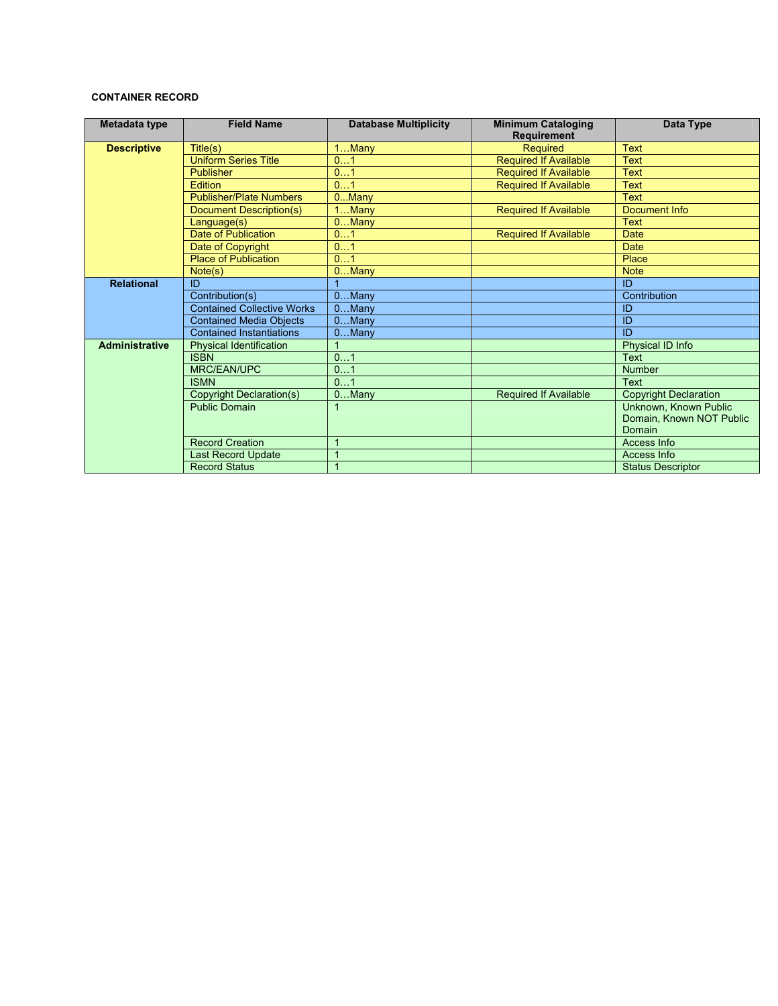## **CONTAINER RECORD**

| Metadata type         | <b>Field Name</b>                 | <b>Database Multiplicity</b> | <b>Minimum Cataloging</b><br><b>Requirement</b> | Data Type                    |
|-----------------------|-----------------------------------|------------------------------|-------------------------------------------------|------------------------------|
| <b>Descriptive</b>    | Title(s)                          | $1$ Many                     | <b>Required</b>                                 | <b>Text</b>                  |
|                       | <b>Uniform Series Title</b>       | 01                           | <b>Required If Available</b>                    | <b>Text</b>                  |
|                       | Publisher                         | 01                           | <b>Required If Available</b>                    | <b>Text</b>                  |
|                       | Edition                           | 01                           | <b>Required If Available</b>                    | <b>Text</b>                  |
|                       | <b>Publisher/Plate Numbers</b>    | $0$ Many                     |                                                 | <b>Text</b>                  |
|                       | <b>Document Description(s)</b>    | $1$ Many                     | <b>Required If Available</b>                    | Document Info                |
|                       | Language(s)                       | $0.$ Many                    |                                                 | <b>Text</b>                  |
|                       | Date of Publication               | 01                           | <b>Required If Available</b>                    | <b>Date</b>                  |
|                       | Date of Copyright                 | 01                           |                                                 | <b>Date</b>                  |
|                       | <b>Place of Publication</b>       | 01                           |                                                 | Place                        |
|                       | Note(s)                           | $0.$ Many                    |                                                 | <b>Note</b>                  |
| <b>Relational</b>     | ID                                |                              |                                                 | ID                           |
|                       | Contribution(s)                   | $0.$ Many                    |                                                 | Contribution                 |
|                       | <b>Contained Collective Works</b> | $0$ Many                     |                                                 | ID                           |
|                       | <b>Contained Media Obiects</b>    | $0$ Many                     |                                                 | ID                           |
|                       | <b>Contained Instantiations</b>   | $0$ Many                     |                                                 | ID                           |
| <b>Administrative</b> | <b>Physical Identification</b>    |                              |                                                 | Physical ID Info             |
|                       | <b>ISBN</b>                       | 01                           |                                                 | <b>Text</b>                  |
|                       | MRC/EAN/UPC                       | 01                           |                                                 | <b>Number</b>                |
|                       | <b>ISMN</b>                       | 01                           |                                                 | <b>Text</b>                  |
|                       | Copyright Declaration(s)          | $0$ Many                     | <b>Required If Available</b>                    | <b>Copyright Declaration</b> |
|                       | <b>Public Domain</b>              |                              |                                                 | Unknown, Known Public        |
|                       |                                   |                              |                                                 | Domain, Known NOT Public     |
|                       |                                   |                              |                                                 | Domain                       |
|                       | <b>Record Creation</b>            | 1                            |                                                 | Access Info                  |
|                       | <b>Last Record Update</b>         |                              |                                                 | Access Info                  |
|                       | <b>Record Status</b>              | $\mathbf{1}$                 |                                                 | <b>Status Descriptor</b>     |